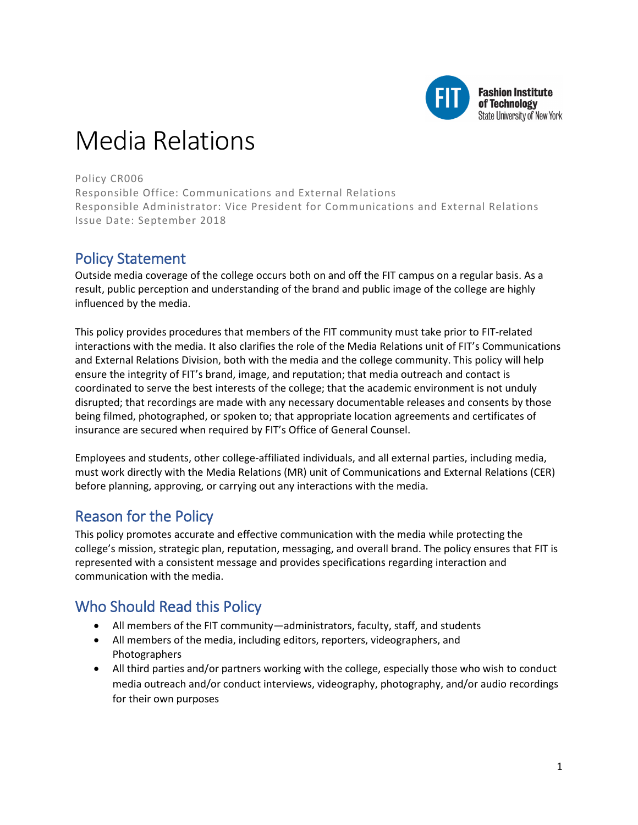

# Media Relations

Policy CR006

Responsible Office: Communications and External Relations Responsible Administrator: Vice President for Communications and External Relations Issue Date: September 2018

# Policy Statement

Outside media coverage of the college occurs both on and off the FIT campus on a regular basis. As a result, public perception and understanding of the brand and public image of the college are highly influenced by the media.

This policy provides procedures that members of the FIT community must take prior to FIT-related interactions with the media. It also clarifies the role of the Media Relations unit of FIT's Communications and External Relations Division, both with the media and the college community. This policy will help ensure the integrity of FIT's brand, image, and reputation; that media outreach and contact is coordinated to serve the best interests of the college; that the academic environment is not unduly disrupted; that recordings are made with any necessary documentable releases and consents by those being filmed, photographed, or spoken to; that appropriate location agreements and certificates of insurance are secured when required by FIT's Office of General Counsel.

Employees and students, other college-affiliated individuals, and all external parties, including media, must work directly with the Media Relations (MR) unit of Communications and External Relations (CER) before planning, approving, or carrying out any interactions with the media.

# Reason for the Policy

This policy promotes accurate and effective communication with the media while protecting the college's mission, strategic plan, reputation, messaging, and overall brand. The policy ensures that FIT is represented with a consistent message and provides specifications regarding interaction and communication with the media.

# Who Should Read this Policy

- All members of the FIT community—administrators, faculty, staff, and students
- All members of the media, including editors, reporters, videographers, and Photographers
- All third parties and/or partners working with the college, especially those who wish to conduct media outreach and/or conduct interviews, videography, photography, and/or audio recordings for their own purposes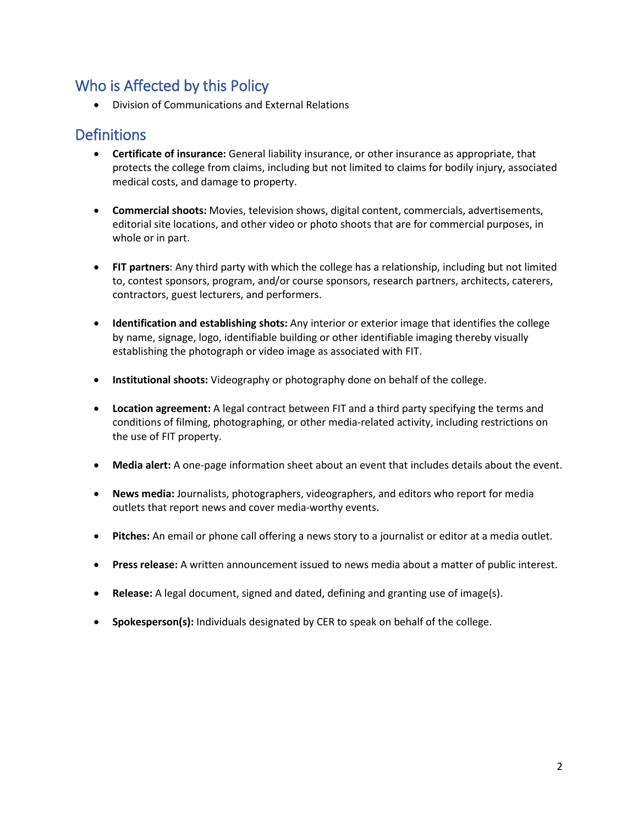# Who is Affected by this Policy

• Division of Communications and External Relations

### **Definitions**

- **Certificate of insurance:** General liability insurance, or other insurance as appropriate, that protects the college from claims, including but not limited to claims for bodily injury, associated medical costs, and damage to property.
- **Commercial shoots:** Movies, television shows, digital content, commercials, advertisements, editorial site locations, and other video or photo shoots that are for commercial purposes, in whole or in part.
- **FIT partners**: Any third party with which the college has a relationship, including but not limited to, contest sponsors, program, and/or course sponsors, research partners, architects, caterers, contractors, guest lecturers, and performers.
- **Identification and establishing shots:** Any interior or exterior image that identifies the college by name, signage, logo, identifiable building or other identifiable imaging thereby visually establishing the photograph or video image as associated with FIT.
- **Institutional shoots:** Videography or photography done on behalf of the college.
- **Location agreement:** A legal contract between FIT and a third party specifying the terms and conditions of filming, photographing, or other media-related activity, including restrictions on the use of FIT property.
- **Media alert:** A one-page information sheet about an event that includes details about the event.
- **News media:** Journalists, photographers, videographers, and editors who report for media outlets that report news and cover media-worthy events.
- **Pitches:** An email or phone call offering a news story to a journalist or editor at a media outlet.
- **Press release:** A written announcement issued to news media about a matter of public interest.
- **Release:** A legal document, signed and dated, defining and granting use of image(s).
- **Spokesperson(s):** Individuals designated by CER to speak on behalf of the college.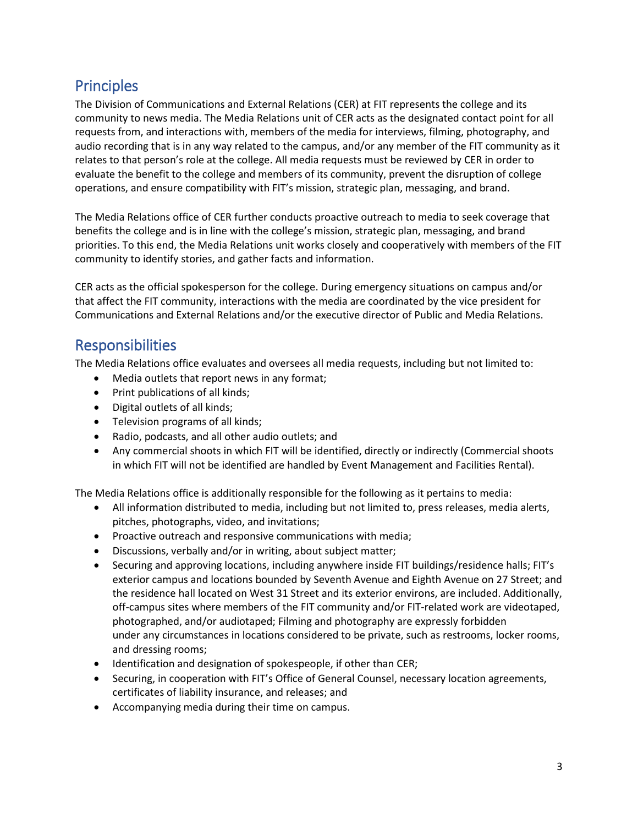# **Principles**

The Division of Communications and External Relations (CER) at FIT represents the college and its community to news media. The Media Relations unit of CER acts as the designated contact point for all requests from, and interactions with, members of the media for interviews, filming, photography, and audio recording that is in any way related to the campus, and/or any member of the FIT community as it relates to that person's role at the college. All media requests must be reviewed by CER in order to evaluate the benefit to the college and members of its community, prevent the disruption of college operations, and ensure compatibility with FIT's mission, strategic plan, messaging, and brand.

The Media Relations office of CER further conducts proactive outreach to media to seek coverage that benefits the college and is in line with the college's mission, strategic plan, messaging, and brand priorities. To this end, the Media Relations unit works closely and cooperatively with members of the FIT community to identify stories, and gather facts and information.

CER acts as the official spokesperson for the college. During emergency situations on campus and/or that affect the FIT community, interactions with the media are coordinated by the vice president for Communications and External Relations and/or the executive director of Public and Media Relations.

# **Responsibilities**

The Media Relations office evaluates and oversees all media requests, including but not limited to:

- Media outlets that report news in any format;
- Print publications of all kinds;
- Digital outlets of all kinds;
- Television programs of all kinds;
- Radio, podcasts, and all other audio outlets; and
- Any commercial shoots in which FIT will be identified, directly or indirectly (Commercial shoots in which FIT will not be identified are handled by Event Management and Facilities Rental).

The Media Relations office is additionally responsible for the following as it pertains to media:

- All information distributed to media, including but not limited to, press releases, media alerts, pitches, photographs, video, and invitations;
- Proactive outreach and responsive communications with media;
- Discussions, verbally and/or in writing, about subject matter;
- Securing and approving locations, including anywhere inside FIT buildings/residence halls; FIT's exterior campus and locations bounded by Seventh Avenue and Eighth Avenue on 27 Street; and the residence hall located on West 31 Street and its exterior environs, are included. Additionally, off-campus sites where members of the FIT community and/or FIT-related work are videotaped, photographed, and/or audiotaped; Filming and photography are expressly forbidden under any circumstances in locations considered to be private, such as restrooms, locker rooms, and dressing rooms;
- Identification and designation of spokespeople, if other than CER;
- Securing, in cooperation with FIT's Office of General Counsel, necessary location agreements, certificates of liability insurance, and releases; and
- Accompanying media during their time on campus.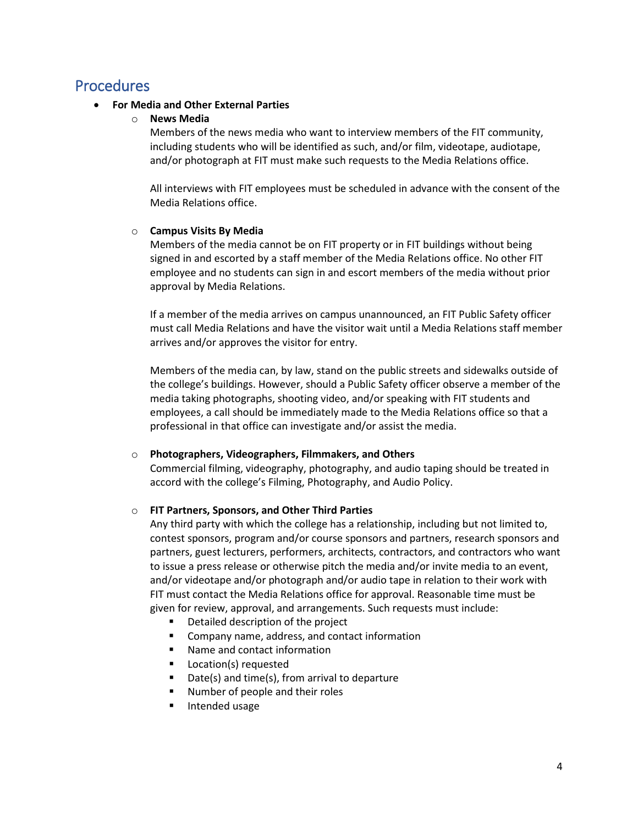### Procedures

#### • **For Media and Other External Parties**

#### o **News Media**

Members of the news media who want to interview members of the FIT community, including students who will be identified as such, and/or film, videotape, audiotape, and/or photograph at FIT must make such requests to the Media Relations office.

All interviews with FIT employees must be scheduled in advance with the consent of the Media Relations office.

#### o **Campus Visits By Media**

Members of the media cannot be on FIT property or in FIT buildings without being signed in and escorted by a staff member of the Media Relations office. No other FIT employee and no students can sign in and escort members of the media without prior approval by Media Relations.

If a member of the media arrives on campus unannounced, an FIT Public Safety officer must call Media Relations and have the visitor wait until a Media Relations staff member arrives and/or approves the visitor for entry.

Members of the media can, by law, stand on the public streets and sidewalks outside of the college's buildings. However, should a Public Safety officer observe a member of the media taking photographs, shooting video, and/or speaking with FIT students and employees, a call should be immediately made to the Media Relations office so that a professional in that office can investigate and/or assist the media.

#### o **Photographers, Videographers, Filmmakers, and Others**

Commercial filming, videography, photography, and audio taping should be treated in accord with the college's Filming, Photography, and Audio Policy.

#### o **FIT Partners, Sponsors, and Other Third Parties**

Any third party with which the college has a relationship, including but not limited to, contest sponsors, program and/or course sponsors and partners, research sponsors and partners, guest lecturers, performers, architects, contractors, and contractors who want to issue a press release or otherwise pitch the media and/or invite media to an event, and/or videotape and/or photograph and/or audio tape in relation to their work with FIT must contact the Media Relations office for approval. Reasonable time must be given for review, approval, and arrangements. Such requests must include:

- Detailed description of the project
- **E** Company name, address, and contact information
- Name and contact information
- **Location(s) requested**
- Date(s) and time(s), from arrival to departure
- Number of people and their roles
- Intended usage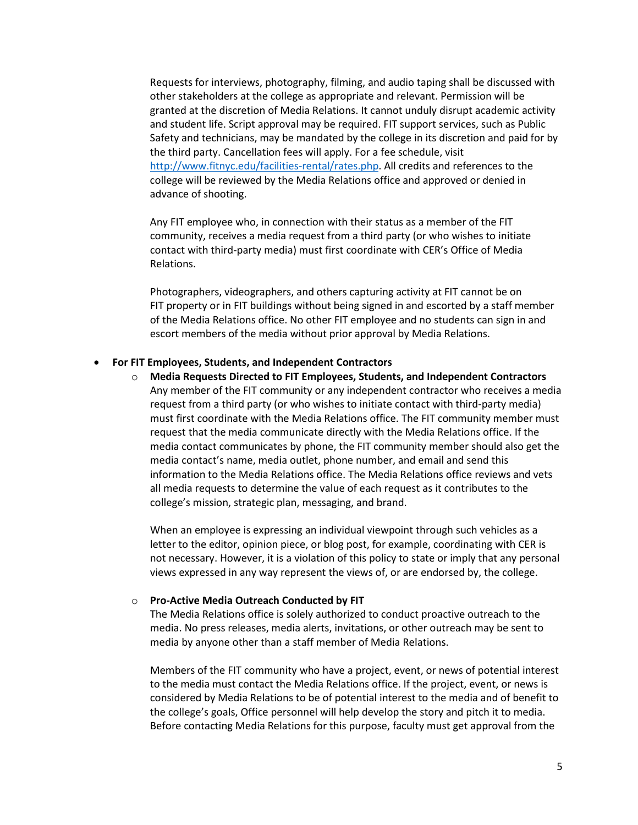Requests for interviews, photography, filming, and audio taping shall be discussed with other stakeholders at the college as appropriate and relevant. Permission will be granted at the discretion of Media Relations. It cannot unduly disrupt academic activity and student life. Script approval may be required. FIT support services, such as Public Safety and technicians, may be mandated by the college in its discretion and paid for by the third party. Cancellation fees will apply. For a fee schedule, visit [http://www.fitnyc.edu/facilities-rental/rates.php.](http://www.fitnyc.edu/facilities-rental/rates.php) All credits and references to the college will be reviewed by the Media Relations office and approved or denied in advance of shooting.

Any FIT employee who, in connection with their status as a member of the FIT community, receives a media request from a third party (or who wishes to initiate contact with third-party media) must first coordinate with CER's Office of Media Relations.

Photographers, videographers, and others capturing activity at FIT cannot be on FIT property or in FIT buildings without being signed in and escorted by a staff member of the Media Relations office. No other FIT employee and no students can sign in and escort members of the media without prior approval by Media Relations.

#### • **For FIT Employees, Students, and Independent Contractors**

o **Media Requests Directed to FIT Employees, Students, and Independent Contractors** Any member of the FIT community or any independent contractor who receives a media request from a third party (or who wishes to initiate contact with third-party media) must first coordinate with the Media Relations office. The FIT community member must request that the media communicate directly with the Media Relations office. If the media contact communicates by phone, the FIT community member should also get the media contact's name, media outlet, phone number, and email and send this information to the Media Relations office. The Media Relations office reviews and vets all media requests to determine the value of each request as it contributes to the college's mission, strategic plan, messaging, and brand.

When an employee is expressing an individual viewpoint through such vehicles as a letter to the editor, opinion piece, or blog post, for example, coordinating with CER is not necessary. However, it is a violation of this policy to state or imply that any personal views expressed in any way represent the views of, or are endorsed by, the college.

#### o **Pro-Active Media Outreach Conducted by FIT**

The Media Relations office is solely authorized to conduct proactive outreach to the media. No press releases, media alerts, invitations, or other outreach may be sent to media by anyone other than a staff member of Media Relations.

Members of the FIT community who have a project, event, or news of potential interest to the media must contact the Media Relations office. If the project, event, or news is considered by Media Relations to be of potential interest to the media and of benefit to the college's goals, Office personnel will help develop the story and pitch it to media. Before contacting Media Relations for this purpose, faculty must get approval from the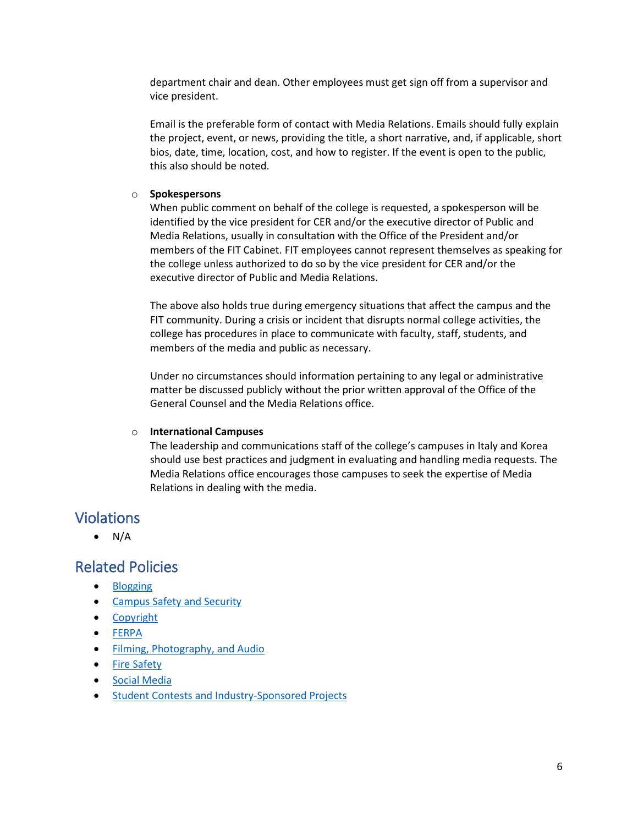department chair and dean. Other employees must get sign off from a supervisor and vice president.

Email is the preferable form of contact with Media Relations. Emails should fully explain the project, event, or news, providing the title, a short narrative, and, if applicable, short bios, date, time, location, cost, and how to register. If the event is open to the public, this also should be noted.

#### o **Spokespersons**

When public comment on behalf of the college is requested, a spokesperson will be identified by the vice president for CER and/or the executive director of Public and Media Relations, usually in consultation with the Office of the President and/or members of the FIT Cabinet. FIT employees cannot represent themselves as speaking for the college unless authorized to do so by the vice president for CER and/or the executive director of Public and Media Relations.

The above also holds true during emergency situations that affect the campus and the FIT community. During a crisis or incident that disrupts normal college activities, the college has procedures in place to communicate with faculty, staff, students, and members of the media and public as necessary.

Under no circumstances should information pertaining to any legal or administrative matter be discussed publicly without the prior written approval of the Office of the General Counsel and the Media Relations office.

#### o **International Campuses**

The leadership and communications staff of the college's campuses in Italy and Korea should use best practices and judgment in evaluating and handling media requests. The Media Relations office encourages those campuses to seek the expertise of Media Relations in dealing with the media.

### Violations

 $\bullet$  N/A

### Related Policies

- [Blogging](http://www.fitnyc.edu/policies/communications/blogging.php)
- [Campus Safety and Security](http://www.fitnyc.edu/policies/safety-security/campus-safety-and-security.php)
- [Copyright](http://www.fitnyc.edu/policies/research/intellectual-property.php)
- [FERPA](http://www.fitnyc.edu/policies/enrollment-management/ferpa.php)
- [Filming, Photography, and Audio](http://www.fitnyc.edu/policies/communications/filming-photography-audio.php)
- [Fire Safety](http://www.fitnyc.edu/policies/safety-security/fire-safety.php)
- [Social Media](http://www.fitnyc.edu/policies/communications/social-media.php)
- [Student Contests and Industry-Sponsored Projects](http://www.fitnyc.edu/policies/academic-affairs/contests.php)